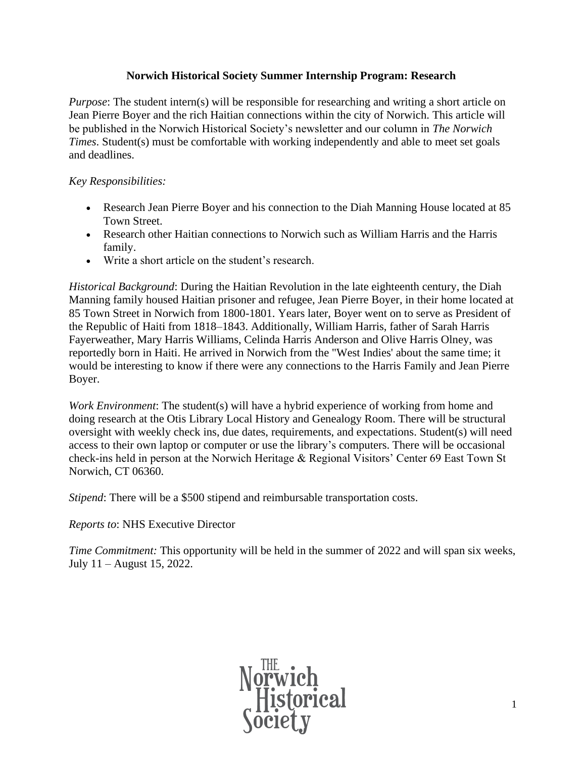## **Norwich Historical Society Summer Internship Program: Research**

*Purpose*: The student intern(s) will be responsible for researching and writing a short article on Jean Pierre Boyer and the rich Haitian connections within the city of Norwich. This article will be published in the Norwich Historical Society's newsletter and our column in *The Norwich Times*. Student(s) must be comfortable with working independently and able to meet set goals and deadlines.

## *Key Responsibilities:*

- Research Jean Pierre Boyer and his connection to the Diah Manning House located at 85 Town Street.
- Research other Haitian connections to Norwich such as William Harris and the Harris family.
- Write a short article on the student's research.

*Historical Background*: During the Haitian Revolution in the late eighteenth century, the Diah Manning family housed Haitian prisoner and refugee, Jean Pierre Boyer, in their home located at 85 Town Street in Norwich from 1800-1801. Years later, Boyer went on to serve as President of the Republic of Haiti from 1818–1843. Additionally, William Harris, father of Sarah Harris Fayerweather, Mary Harris Williams, Celinda Harris Anderson and Olive Harris Olney, was reportedly born in Haiti. He arrived in Norwich from the "West Indies' about the same time; it would be interesting to know if there were any connections to the Harris Family and Jean Pierre Boyer.

*Work Environment*: The student(s) will have a hybrid experience of working from home and doing research at the Otis Library Local History and Genealogy Room. There will be structural oversight with weekly check ins, due dates, requirements, and expectations. Student(s) will need access to their own laptop or computer or use the library's computers. There will be occasional check-ins held in person at the Norwich Heritage & Regional Visitors' Center 69 East Town St Norwich, CT 06360.

*Stipend*: There will be a \$500 stipend and reimbursable transportation costs.

## *Reports to*: NHS Executive Director

*Time Commitment:* This opportunity will be held in the summer of 2022 and will span six weeks, July 11 – August 15, 2022.

Norwich<br>Historical